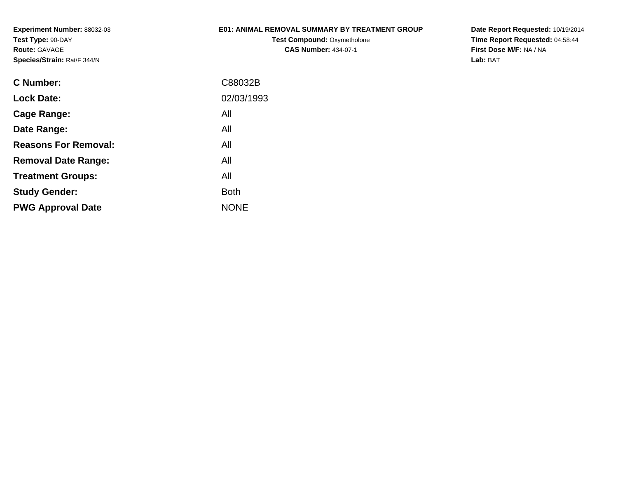## **E01: ANIMAL REMOVAL SUMMARY BY TREATMENT GROUP**

**Test Compound: Oxymetholone CAS Number:** 434-07-1

| C Number:                   | C88032B     |
|-----------------------------|-------------|
| <b>Lock Date:</b>           | 02/03/1993  |
| Cage Range:                 | All         |
| Date Range:                 | All         |
| <b>Reasons For Removal:</b> | All         |
| <b>Removal Date Range:</b>  | All         |
| <b>Treatment Groups:</b>    | All         |
| <b>Study Gender:</b>        | <b>Both</b> |
| <b>PWG Approval Date</b>    | <b>NONE</b> |
|                             |             |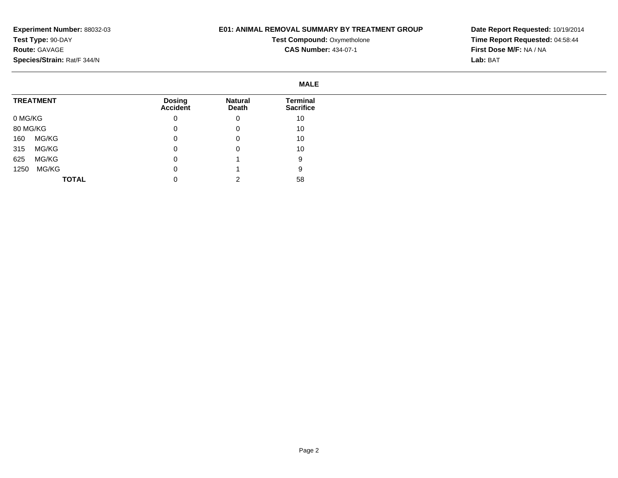## **E01: ANIMAL REMOVAL SUMMARY BY TREATMENT GROUP**

**Test Compound: Oxymetholone CAS Number:** 434-07-1

|          |                  |                                  |                         | <b>MALE</b>                  |
|----------|------------------|----------------------------------|-------------------------|------------------------------|
|          | <b>TREATMENT</b> | <b>Dosing</b><br><b>Accident</b> | <b>Natural</b><br>Death | Terminal<br><b>Sacrifice</b> |
| 0 MG/KG  |                  | 0                                | 0                       | 10                           |
| 80 MG/KG |                  | 0                                | 0                       | 10                           |
| 160      | MG/KG            | 0                                | 0                       | 10                           |
| 315      | MG/KG            | 0                                | 0                       | 10                           |
| 625      | MG/KG            | 0                                |                         | 9                            |
| 1250     | MG/KG            | 0                                |                         | 9                            |
|          | <b>TOTAL</b>     | 0                                | $\sqrt{2}$              | 58                           |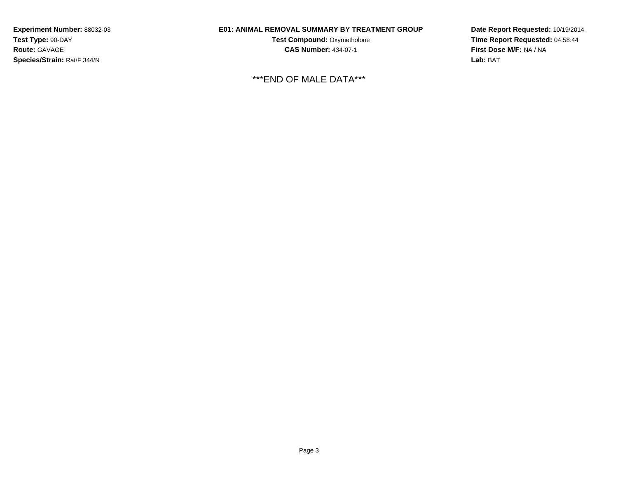### **E01: ANIMAL REMOVAL SUMMARY BY TREATMENT GROUP**

**Test Compound:** Oxymetholone**CAS Number:** 434-07-1

\*\*\*END OF MALE DATA\*\*\*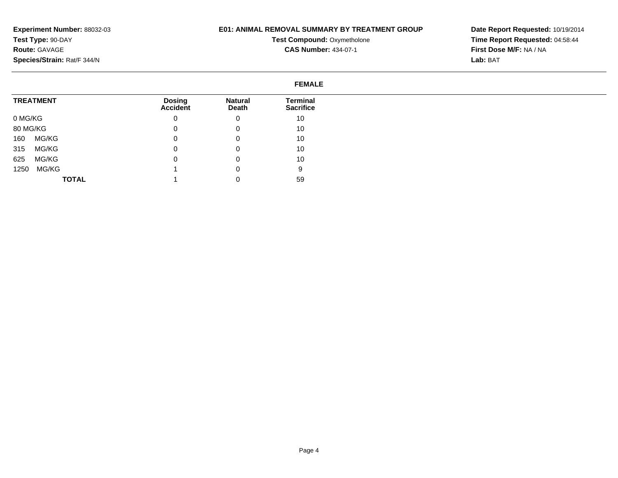## **E01: ANIMAL REMOVAL SUMMARY BY TREATMENT GROUP**

**Test Compound: Oxymetholone CAS Number:** 434-07-1

| <b>FEMALE</b>    |                                  |                                |                              |  |  |
|------------------|----------------------------------|--------------------------------|------------------------------|--|--|
| <b>TREATMENT</b> | <b>Dosing</b><br><b>Accident</b> | <b>Natural</b><br><b>Death</b> | Terminal<br><b>Sacrifice</b> |  |  |
| 0 MG/KG          | 0                                | 0                              | 10                           |  |  |
| 80 MG/KG         | 0                                | O                              | 10                           |  |  |
| MG/KG<br>160     | 0                                | 0                              | 10                           |  |  |
| MG/KG<br>315     | 0                                | 0                              | 10                           |  |  |
| MG/KG<br>625     | 0                                |                                | 10                           |  |  |
| MG/KG<br>1250    |                                  |                                | 9                            |  |  |
| <b>TOTAL</b>     |                                  |                                | 59                           |  |  |